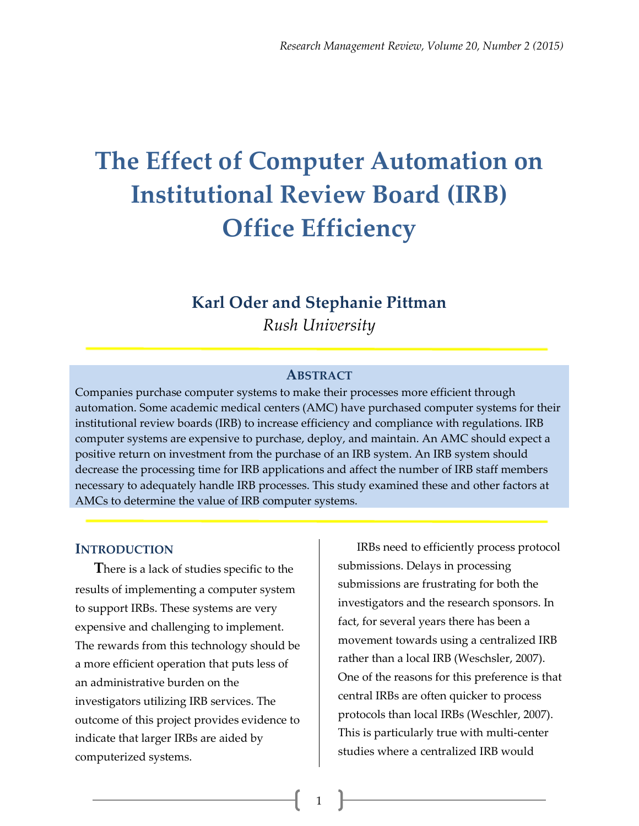# **The Effect of Computer Automation on Institutional Review Board (IRB) Office Efficiency**

## **Karl Oder and Stephanie Pittman** *Rush University*

#### **ABSTRACT**

Companies purchase computer systems to make their processes more efficient through automation. Some academic medical centers (AMC) have purchased computer systems for their institutional review boards (IRB) to increase efficiency and compliance with regulations. IRB computer systems are expensive to purchase, deploy, and maintain. An AMC should expect a positive return on investment from the purchase of an IRB system. An IRB system should decrease the processing time for IRB applications and affect the number of IRB staff members necessary to adequately handle IRB processes. This study examined these and other factors at AMCs to determine the value of IRB computer systems.

1

#### **INTRODUCTION**

**T**here is a lack of studies specific to the results of implementing a computer system to support IRBs. These systems are very expensive and challenging to implement. The rewards from this technology should be a more efficient operation that puts less of an administrative burden on the investigators utilizing IRB services. The outcome of this project provides evidence to indicate that larger IRBs are aided by computerized systems.

IRBs need to efficiently process protocol submissions. Delays in processing submissions are frustrating for both the investigators and the research sponsors. In fact, for several years there has been a movement towards using a centralized IRB rather than a local IRB (Weschsler, 2007). One of the reasons for this preference is that central IRBs are often quicker to process protocols than local IRBs (Weschler, 2007). This is particularly true with multi-center studies where a centralized IRB would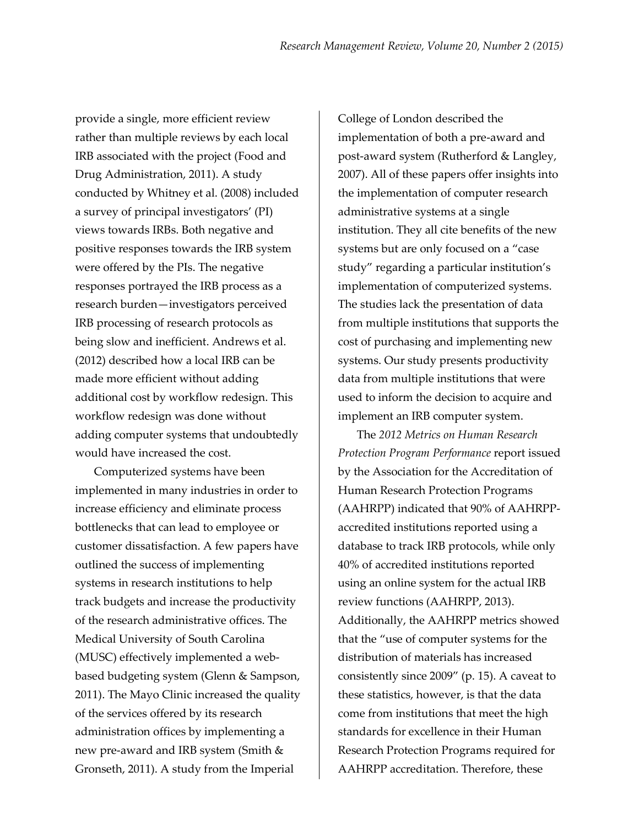provide a single, more efficient review rather than multiple reviews by each local IRB associated with the project (Food and Drug Administration, 2011). A study conducted by Whitney et al. (2008) included a survey of principal investigators' (PI) views towards IRBs. Both negative and positive responses towards the IRB system were offered by the PIs. The negative responses portrayed the IRB process as a research burden—investigators perceived IRB processing of research protocols as being slow and inefficient. Andrews et al. (2012) described how a local IRB can be made more efficient without adding additional cost by workflow redesign. This workflow redesign was done without adding computer systems that undoubtedly would have increased the cost.

Computerized systems have been implemented in many industries in order to increase efficiency and eliminate process bottlenecks that can lead to employee or customer dissatisfaction. A few papers have outlined the success of implementing systems in research institutions to help track budgets and increase the productivity of the research administrative offices. The Medical University of South Carolina (MUSC) effectively implemented a webbased budgeting system (Glenn & Sampson, 2011). The Mayo Clinic increased the quality of the services offered by its research administration offices by implementing a new pre-award and IRB system (Smith & Gronseth, 2011). A study from the Imperial

College of London described the implementation of both a pre-award and post-award system (Rutherford & Langley, 2007). All of these papers offer insights into the implementation of computer research administrative systems at a single institution. They all cite benefits of the new systems but are only focused on a "case study" regarding a particular institution's implementation of computerized systems. The studies lack the presentation of data from multiple institutions that supports the cost of purchasing and implementing new systems. Our study presents productivity data from multiple institutions that were used to inform the decision to acquire and implement an IRB computer system.

The *2012 Metrics on Human Research Protection Program Performance* report issued by the Association for the Accreditation of Human Research Protection Programs (AAHRPP) indicated that 90% of AAHRPPaccredited institutions reported using a database to track IRB protocols, while only 40% of accredited institutions reported using an online system for the actual IRB review functions (AAHRPP, 2013). Additionally, the AAHRPP metrics showed that the "use of computer systems for the distribution of materials has increased consistently since 2009" (p. 15). A caveat to these statistics, however, is that the data come from institutions that meet the high standards for excellence in their Human Research Protection Programs required for AAHRPP accreditation. Therefore, these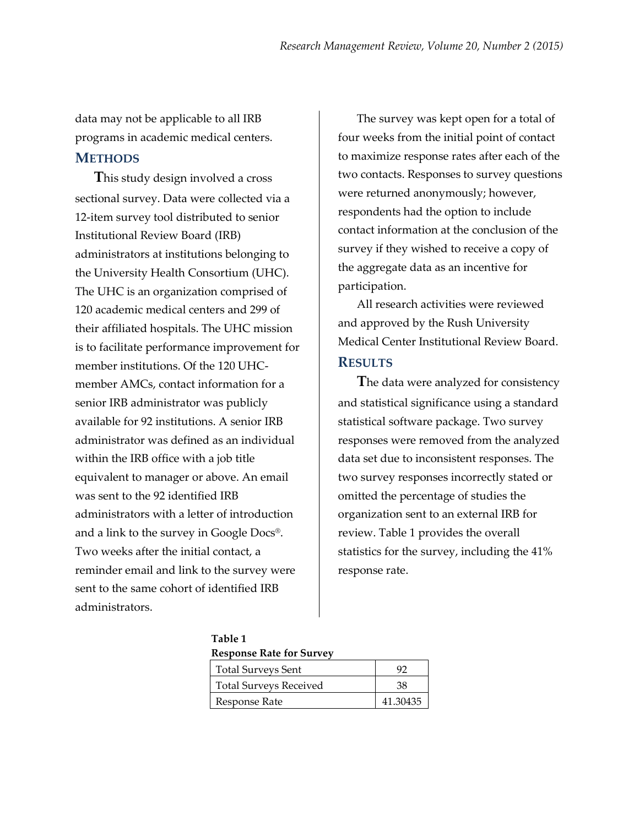data may not be applicable to all IRB programs in academic medical centers.

#### **METHODS**

**T**his study design involved a cross sectional survey. Data were collected via a 12-item survey tool distributed to senior Institutional Review Board (IRB) administrators at institutions belonging to the University Health Consortium (UHC). The UHC is an organization comprised of 120 academic medical centers and 299 of their affiliated hospitals. The UHC mission is to facilitate performance improvement for member institutions. Of the 120 UHCmember AMCs, contact information for a senior IRB administrator was publicly available for 92 institutions. A senior IRB administrator was defined as an individual within the IRB office with a job title equivalent to manager or above. An email was sent to the 92 identified IRB administrators with a letter of introduction and a link to the survey in Google Docs®. Two weeks after the initial contact, a reminder email and link to the survey were sent to the same cohort of identified IRB administrators.

The survey was kept open for a total of four weeks from the initial point of contact to maximize response rates after each of the two contacts. Responses to survey questions were returned anonymously; however, respondents had the option to include contact information at the conclusion of the survey if they wished to receive a copy of the aggregate data as an incentive for participation.

All research activities were reviewed and approved by the Rush University Medical Center Institutional Review Board. **RESULTS**

**T**he data were analyzed for consistency and statistical significance using a standard statistical software package. Two survey responses were removed from the analyzed data set due to inconsistent responses. The two survey responses incorrectly stated or omitted the percentage of studies the organization sent to an external IRB for review. Table 1 provides the overall statistics for the survey, including the 41% response rate.

**Table 1**

**Response Rate for Survey**

| <b>Total Surveys Sent</b>     |          |
|-------------------------------|----------|
| <b>Total Surveys Received</b> | 38       |
| Response Rate                 | 41.30435 |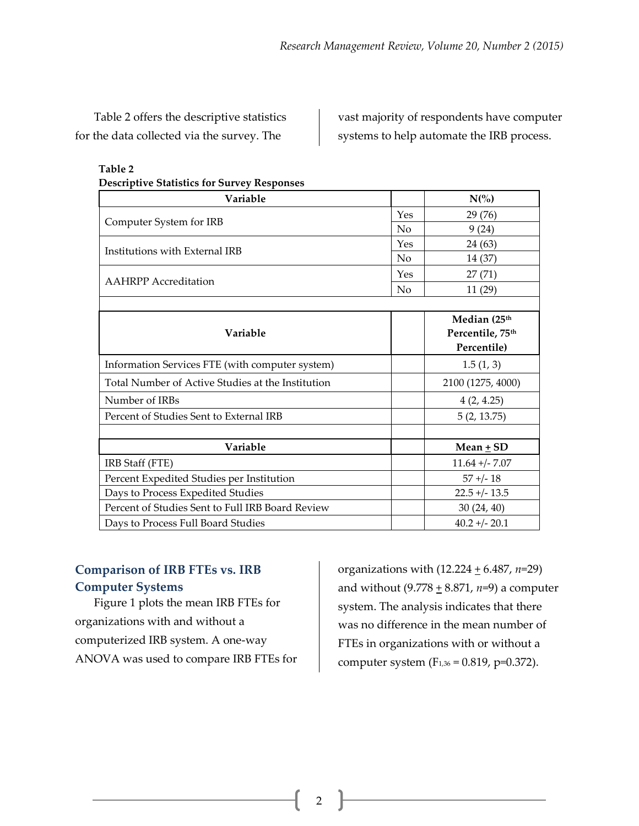Table 2 offers the descriptive statistics for the data collected via the survey. The

vast majority of respondents have computer systems to help automate the IRB process.

#### **Table 2**

**Descriptive Statistics for Survey Responses**

| Variable                                          |     | $N\binom{0}{0}$   |
|---------------------------------------------------|-----|-------------------|
| Computer System for IRB                           | Yes | 29 (76)           |
|                                                   | No  | 9(24)             |
| Institutions with External IRB                    | Yes | 24 (63)           |
|                                                   | No  | 14 (37)           |
| <b>AAHRPP</b> Accreditation                       | Yes | 27(71)            |
|                                                   | No  | 11 (29)           |
|                                                   |     |                   |
| Variable                                          |     | Median (25th      |
|                                                   |     | Percentile, 75th  |
|                                                   |     | Percentile)       |
| Information Services FTE (with computer system)   |     | 1.5(1, 3)         |
| Total Number of Active Studies at the Institution |     | 2100 (1275, 4000) |
| Number of IRBs                                    |     | 4(2, 4.25)        |
| Percent of Studies Sent to External IRB           |     | 5(2, 13.75)       |
|                                                   |     |                   |
| Variable                                          |     | Mean $\pm$ SD     |
| IRB Staff (FTE)                                   |     | $11.64 + -7.07$   |
| Percent Expedited Studies per Institution         |     | $57 + - 18$       |
| Days to Process Expedited Studies                 |     | $22.5 + - 13.5$   |
| Percent of Studies Sent to Full IRB Board Review  |     | 30(24, 40)        |
| Days to Process Full Board Studies                |     | $40.2 + - 20.1$   |

2

#### **Comparison of IRB FTEs vs. IRB Computer Systems**

Figure 1 plots the mean IRB FTEs for organizations with and without a computerized IRB system. A one-way ANOVA was used to compare IRB FTEs for

organizations with  $(12.224 \pm 6.487, n=29)$ and without (9.778  $\pm$  8.871, *n*=9) a computer system. The analysis indicates that there was no difference in the mean number of FTEs in organizations with or without a computer system  $(F<sub>1,36</sub> = 0.819, p=0.372)$ .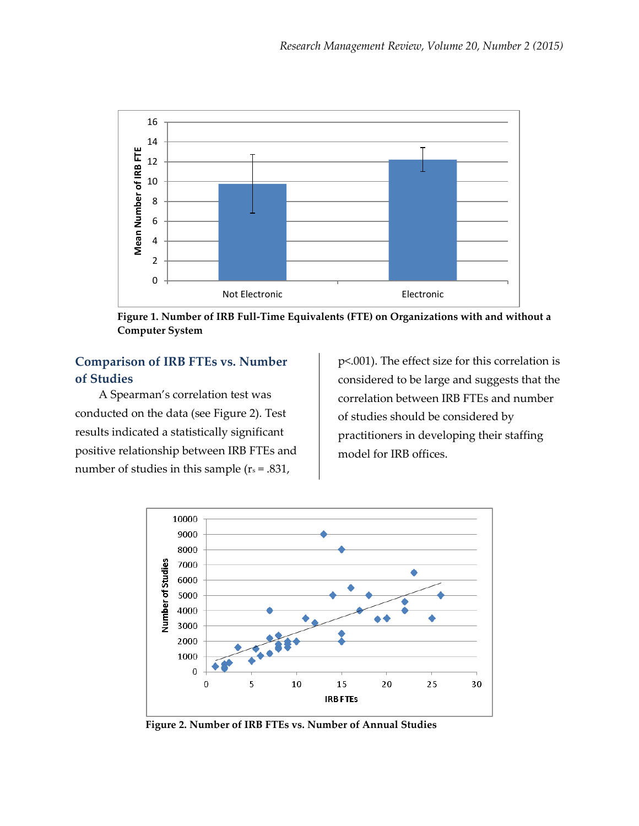

**Figure 1. Number of IRB Full-Time Equivalents (FTE) on Organizations with and without a Computer System**

#### **Comparison of IRB FTEs vs. Number of Studies**

A Spearman's correlation test was conducted on the data (see Figure 2). Test results indicated a statistically significant positive relationship between IRB FTEs and number of studies in this sample ( $r_s = .831$ ,

p<.001). The effect size for this correlation is considered to be large and suggests that the correlation between IRB FTEs and number of studies should be considered by practitioners in developing their staffing model for IRB offices.



**Figure 2. Number of IRB FTEs vs. Number of Annual Studies**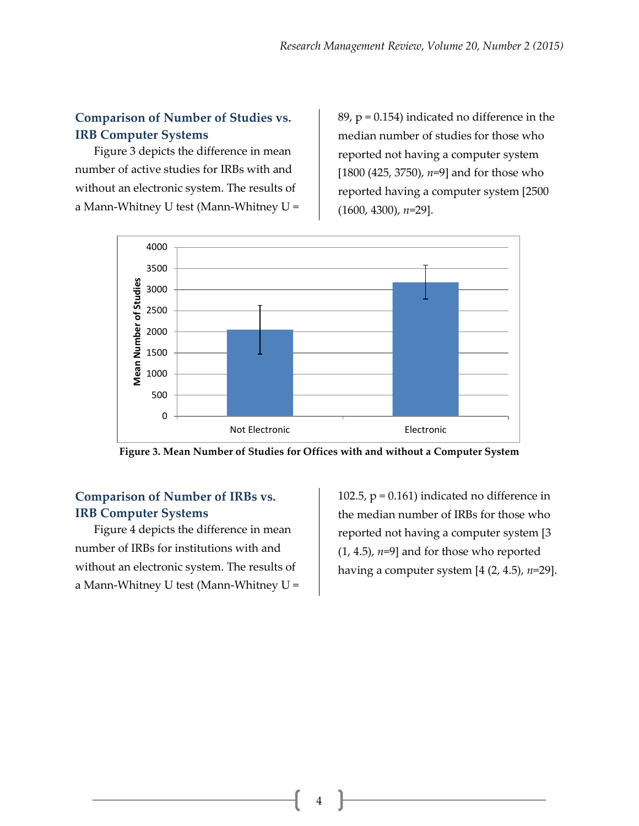## **Comparison of Number of Studies vs. IRB Computer Systems**

Figure 3 depicts the difference in mean number of active studies for IRBs with and without an electronic system. The results of a Mann-Whitney U test (Mann-Whitney U = 89,  $p = 0.154$ ) indicated no difference in the median number of studies for those who reported not having a computer system [1800 (425, 3750), *n*=9] and for those who reported having a computer system [2500 (1600, 4300), *n*=29].



**Figure 3. Mean Number of Studies for Offices with and without a Computer System**

## **Comparison of Number of IRBs vs. IRB Computer Systems**

Figure 4 depicts the difference in mean number of IRBs for institutions with and without an electronic system. The results of a Mann-Whitney U test (Mann-Whitney U =

102.5,  $p = 0.161$ ) indicated no difference in the median number of IRBs for those who reported not having a computer system [3  $(1, 4.5)$ ,  $n=9$ ] and for those who reported having a computer system [4 (2, 4.5), *n*=29].

4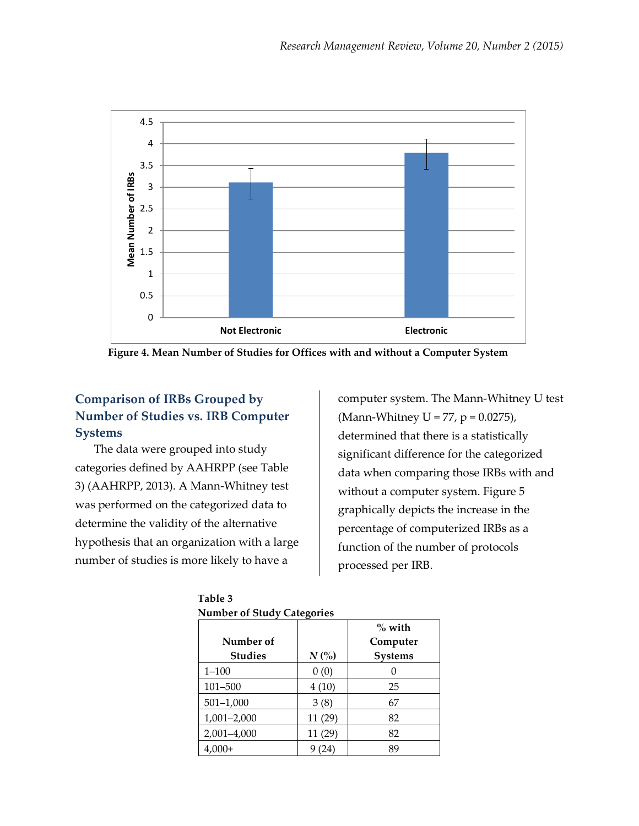

**Figure 4. Mean Number of Studies for Offices with and without a Computer System**

## **Comparison of IRBs Grouped by Number of Studies vs. IRB Computer Systems**

The data were grouped into study categories defined by AAHRPP (see Table 3) (AAHRPP, 2013). A Mann-Whitney test was performed on the categorized data to determine the validity of the alternative hypothesis that an organization with a large number of studies is more likely to have a

computer system. The Mann-Whitney U test (Mann-Whitney U = 77,  $p = 0.0275$ ), determined that there is a statistically significant difference for the categorized data when comparing those IRBs with and without a computer system. Figure 5 graphically depicts the increase in the percentage of computerized IRBs as a function of the number of protocols processed per IRB.

| Number of Study Categories |         |                |  |  |
|----------------------------|---------|----------------|--|--|
|                            |         | $\%$ with      |  |  |
| Number of                  |         | Computer       |  |  |
| <b>Studies</b>             | $N$ (%) | <b>Systems</b> |  |  |
| $1 - 100$                  | 0(0)    |                |  |  |
| 101-500                    | 4(10)   | 25             |  |  |
| $501 - 1,000$              | 3(8)    | 67             |  |  |
| $1,001 - 2,000$            | 11 (29) | 82             |  |  |
| 2,001-4,000                | 11(29)  | 82             |  |  |
| $4,000+$                   | 9 (24)  | 89             |  |  |

**Table 3**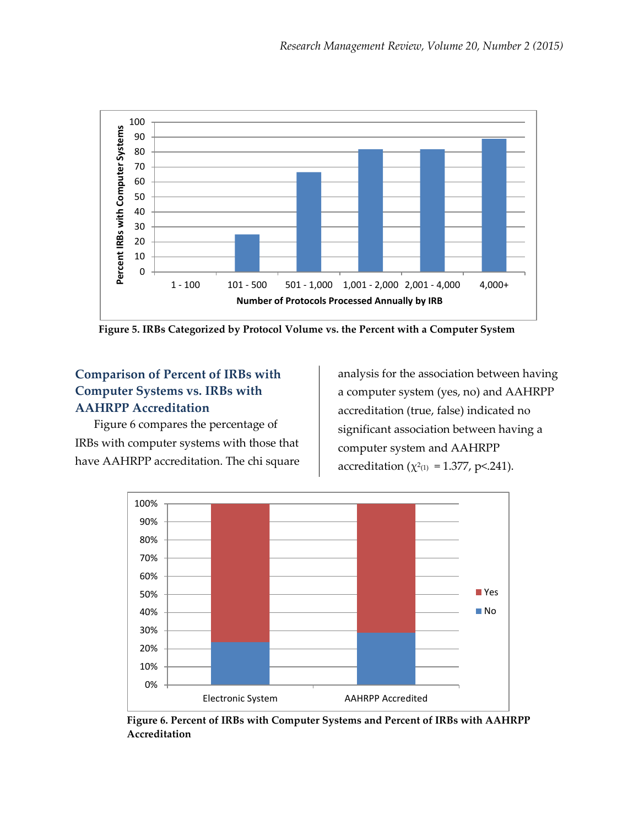

**Figure 5. IRBs Categorized by Protocol Volume vs. the Percent with a Computer System**

## **Comparison of Percent of IRBs with Computer Systems vs. IRBs with AAHRPP Accreditation**

Figure 6 compares the percentage of IRBs with computer systems with those that have AAHRPP accreditation. The chi square analysis for the association between having a computer system (yes, no) and AAHRPP accreditation (true, false) indicated no significant association between having a computer system and AAHRPP accreditation ( $\chi^{2_{(1)}}$  = 1.377, p<.241).



**Figure 6. Percent of IRBs with Computer Systems and Percent of IRBs with AAHRPP Accreditation**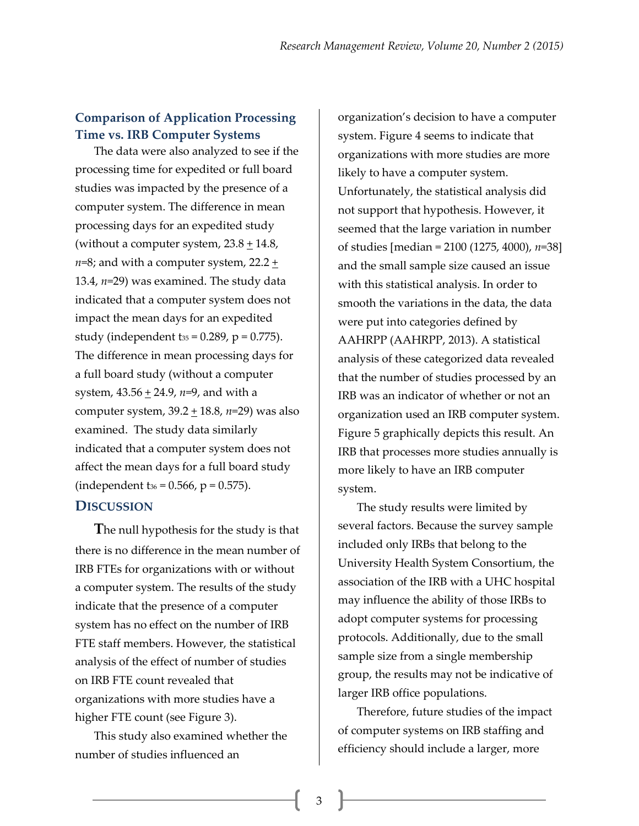### **Comparison of Application Processing Time vs. IRB Computer Systems**

The data were also analyzed to see if the processing time for expedited or full board studies was impacted by the presence of a computer system. The difference in mean processing days for an expedited study (without a computer system,  $23.8 \pm 14.8$ ,  $n=8$ ; and with a computer system, 22.2  $+$ 13.4, *n*=29) was examined. The study data indicated that a computer system does not impact the mean days for an expedited study (independent t $_{35} = 0.289$ , p = 0.775). The difference in mean processing days for a full board study (without a computer system, 43.56 + 24.9, *n*=9, and with a computer system, 39.2 + 18.8, *n*=29) was also examined. The study data similarly indicated that a computer system does not affect the mean days for a full board study (independent t<sub>36</sub> = 0.566, p = 0.575).

#### **DISCUSSION**

**T**he null hypothesis for the study is that there is no difference in the mean number of IRB FTEs for organizations with or without a computer system. The results of the study indicate that the presence of a computer system has no effect on the number of IRB FTE staff members. However, the statistical analysis of the effect of number of studies on IRB FTE count revealed that organizations with more studies have a higher FTE count (see Figure 3).

This study also examined whether the number of studies influenced an

organization's decision to have a computer system. Figure 4 seems to indicate that organizations with more studies are more likely to have a computer system. Unfortunately, the statistical analysis did not support that hypothesis. However, it seemed that the large variation in number of studies [median = 2100 (1275, 4000), *n*=38] and the small sample size caused an issue with this statistical analysis. In order to smooth the variations in the data, the data were put into categories defined by AAHRPP (AAHRPP, 2013). A statistical analysis of these categorized data revealed that the number of studies processed by an IRB was an indicator of whether or not an organization used an IRB computer system. Figure 5 graphically depicts this result. An IRB that processes more studies annually is more likely to have an IRB computer system.

The study results were limited by several factors. Because the survey sample included only IRBs that belong to the University Health System Consortium, the association of the IRB with a UHC hospital may influence the ability of those IRBs to adopt computer systems for processing protocols. Additionally, due to the small sample size from a single membership group, the results may not be indicative of larger IRB office populations.

Therefore, future studies of the impact of computer systems on IRB staffing and efficiency should include a larger, more

3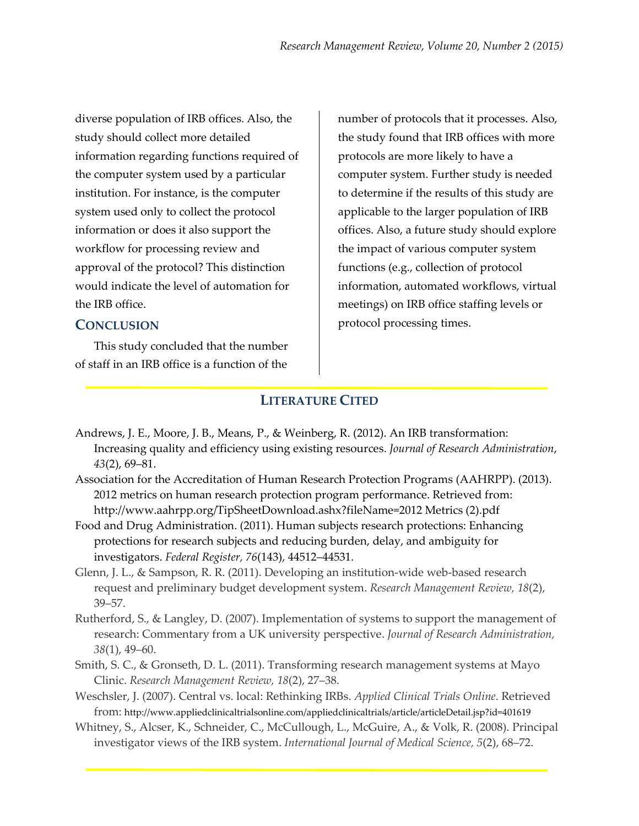diverse population of IRB offices. Also, the study should collect more detailed information regarding functions required of the computer system used by a particular institution. For instance, is the computer system used only to collect the protocol information or does it also support the workflow for processing review and approval of the protocol? This distinction would indicate the level of automation for the IRB office.

#### **CONCLUSION**

This study concluded that the number of staff in an IRB office is a function of the

number of protocols that it processes. Also, the study found that IRB offices with more protocols are more likely to have a computer system. Further study is needed to determine if the results of this study are applicable to the larger population of IRB offices. Also, a future study should explore the impact of various computer system functions (e.g., collection of protocol information, automated workflows, virtual meetings) on IRB office staffing levels or protocol processing times.

#### **LITERATURE CITED**

- Andrews, J. E., Moore, J. B., Means, P., & Weinberg, R. (2012). An IRB transformation: Increasing quality and efficiency using existing resources. *Journal of Research Administration*, *43*(2), 69–81.
- Association for the Accreditation of Human Research Protection Programs (AAHRPP). (2013). 2012 metrics on human research protection program performance. Retrieved from: http://www.aahrpp.org/TipSheetDownload.ashx?fileName=2012 Metrics (2).pdf
- Food and Drug Administration. (2011). Human subjects research protections: Enhancing protections for research subjects and reducing burden, delay, and ambiguity for investigators. *Federal Register, 76*(143), 44512–44531.
- Glenn, J. L., & Sampson, R. R. (2011). Developing an institution-wide web-based research request and preliminary budget development system. *Research Management Review, 18*(2), 39–57.
- Rutherford, S., & Langley, D. (2007). Implementation of systems to support the management of research: Commentary from a UK university perspective. *Journal of Research Administration, 38*(1), 49–60.
- Smith, S. C., & Gronseth, D. L. (2011). Transforming research management systems at Mayo Clinic. *Research Management Review, 18*(2), 27–38.
- Weschsler, J. (2007). Central vs. local: Rethinking IRBs. *Applied Clinical Trials Online*. Retrieved from: http://www.appliedclinicaltrialsonline.com/appliedclinicaltrials/article/articleDetail.jsp?id=401619
- Whitney, S., Alcser, K., Schneider, C., McCullough, L., McGuire, A., & Volk, R. (2008). Principal investigator views of the IRB system. *International Journal of Medical Science, 5*(2), 68–72.